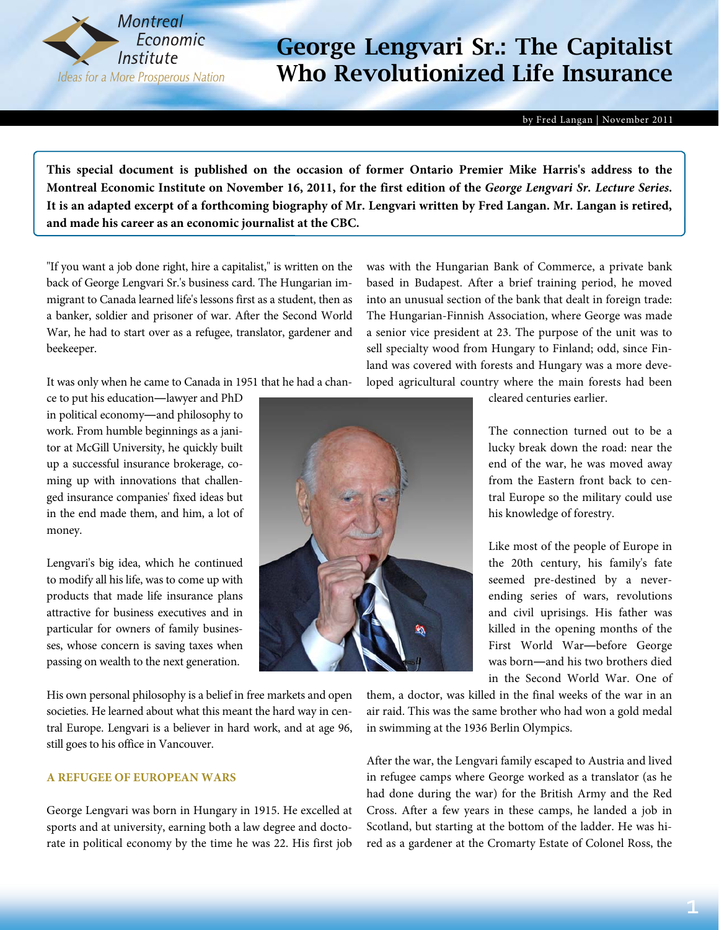

by Fred Langan | November 2011

**This special document is published on the occasion of former Ontario Premier Mike Harris's address to the Montreal Economic Institute on November 16, 2011, for the first edition of the** *George Lengvari Sr. Lecture Series***. It is an adapted excerpt of a forthcoming biography of Mr. Lengvari written by Fred Langan. Mr. Langan is retired, and made his career as an economic journalist at the CBC.** 

"If you want a job done right, hire a capitalist," is written on the back of George Lengvari Sr.'s business card. The Hungarian immigrant to Canada learned life's lessons first as a student, then as a banker, soldier and prisoner of war. After the Second World War, he had to start over as a refugee, translator, gardener and beekeeper.

It was only when he came to Canada in 1951 that he had a chan-

ce to put his education―lawyer and PhD in political economy―and philosophy to work. From humble beginnings as a janitor at McGill University, he quickly built up a successful insurance brokerage, coming up with innovations that challenged insurance companies' fixed ideas but in the end made them, and him, a lot of money.

Lengvari's big idea, which he continued to modify all his life, was to come up with products that made life insurance plans attractive for business executives and in particular for owners of family businesses, whose concern is saving taxes when passing on wealth to the next generation.

His own personal philosophy is a belief in free markets and open societies. He learned about what this meant the hard way in central Europe. Lengvari is a believer in hard work, and at age 96, still goes to his office in Vancouver.

#### **A REFUGEE OF EUROPEAN WARS**

George Lengvari was born in Hungary in 1915. He excelled at sports and at university, earning both a law degree and doctorate in political economy by the time he was 22. His first job

cleared centuries earlier.

was with the Hungarian Bank of Commerce, a private bank based in Budapest. After a brief training period, he moved into an unusual section of the bank that dealt in foreign trade: The Hungarian-Finnish Association, where George was made a senior vice president at 23. The purpose of the unit was to sell specialty wood from Hungary to Finland; odd, since Finland was covered with forests and Hungary was a more developed agricultural country where the main forests had been

> The connection turned out to be a lucky break down the road: near the end of the war, he was moved away from the Eastern front back to central Europe so the military could use his knowledge of forestry.

> Like most of the people of Europe in the 20th century, his family's fate seemed pre-destined by a neverending series of wars, revolutions and civil uprisings. His father was killed in the opening months of the First World War―before George was born―and his two brothers died in the Second World War. One of

them, a doctor, was killed in the final weeks of the war in an air raid. This was the same brother who had won a gold medal in swimming at the 1936 Berlin Olympics.

After the war, the Lengvari family escaped to Austria and lived in refugee camps where George worked as a translator (as he had done during the war) for the British Army and the Red Cross. After a few years in these camps, he landed a job in Scotland, but starting at the bottom of the ladder. He was hired as a gardener at the Cromarty Estate of Colonel Ross, the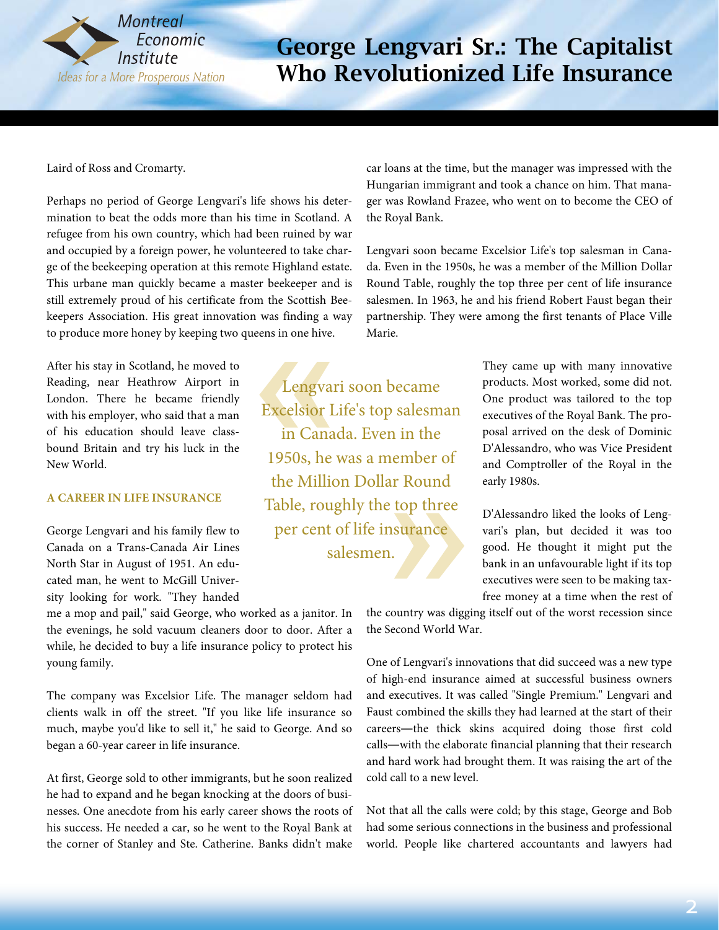

Laird of Ross and Cromarty.

Perhaps no period of George Lengvari's life shows his determination to beat the odds more than his time in Scotland. A refugee from his own country, which had been ruined by war and occupied by a foreign power, he volunteered to take charge of the beekeeping operation at this remote Highland estate. This urbane man quickly became a master beekeeper and is still extremely proud of his certificate from the Scottish Beekeepers Association. His great innovation was finding a way to produce more honey by keeping two queens in one hive.

After his stay in Scotland, he moved to Reading, near Heathrow Airport in London. There he became friendly with his employer, who said that a man of his education should leave classbound Britain and try his luck in the New World.

#### **A CAREER IN LIFE INSURANCE**

George Lengvari and his family flew to Canada on a Trans-Canada Air Lines North Star in August of 1951. An educated man, he went to McGill University looking for work. "They handed

me a mop and pail," said George, who worked as a janitor. In the evenings, he sold vacuum cleaners door to door. After a while, he decided to buy a life insurance policy to protect his young family.

The company was Excelsior Life. The manager seldom had clients walk in off the street. "If you like life insurance so much, maybe you'd like to sell it," he said to George. And so began a 60-year career in life insurance.

At first, George sold to other immigrants, but he soon realized he had to expand and he began knocking at the doors of businesses. One anecdote from his early career shows the roots of his success. He needed a car, so he went to the Royal Bank at the corner of Stanley and Ste. Catherine. Banks didn't make

car loans at the time, but the manager was impressed with the Hungarian immigrant and took a chance on him. That manager was Rowland Frazee, who went on to become the CEO of the Royal Bank.

Lengvari soon became Excelsior Life's top salesman in Canada. Even in the 1950s, he was a member of the Million Dollar Round Table, roughly the top three per cent of life insurance salesmen. In 1963, he and his friend Robert Faust began their partnership. They were among the first tenants of Place Ville Marie.

Lengvari soon became Excelsior Life's top salesman in Canada. Even in the 1950s, he was a member of the Million Dollar Round Table, roughly the top three per cent of life insurance salesmen.

They came up with many innovative products. Most worked, some did not. One product was tailored to the top executives of the Royal Bank. The proposal arrived on the desk of Dominic D'Alessandro, who was Vice President and Comptroller of the Royal in the early 1980s.

D'Alessandro liked the looks of Lengvari's plan, but decided it was too good. He thought it might put the bank in an unfavourable light if its top executives were seen to be making taxfree money at a time when the rest of

the country was digging itself out of the worst recession since the Second World War.

One of Lengvari's innovations that did succeed was a new type of high-end insurance aimed at successful business owners and executives. It was called "Single Premium." Lengvari and Faust combined the skills they had learned at the start of their careers―the thick skins acquired doing those first cold calls―with the elaborate financial planning that their research and hard work had brought them. It was raising the art of the cold call to a new level.

Not that all the calls were cold; by this stage, George and Bob had some serious connections in the business and professional world. People like chartered accountants and lawyers had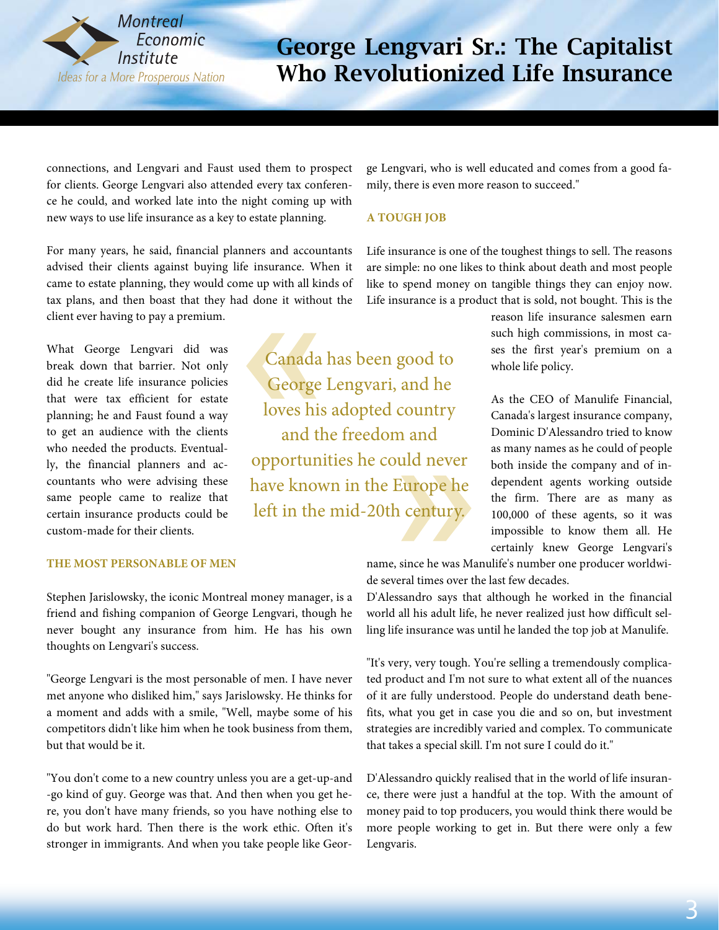

connections, and Lengvari and Faust used them to prospect for clients. George Lengvari also attended every tax conference he could, and worked late into the night coming up with new ways to use life insurance as a key to estate planning.

For many years, he said, financial planners and accountants advised their clients against buying life insurance. When it came to estate planning, they would come up with all kinds of tax plans, and then boast that they had done it without the client ever having to pay a premium.

What George Lengvari did was break down that barrier. Not only did he create life insurance policies that were tax efficient for estate planning; he and Faust found a way to get an audience with the clients who needed the products. Eventually, the financial planners and accountants who were advising these same people came to realize that certain insurance products could be custom-made for their clients.

#### **THE MOST PERSONABLE OF MEN**

Stephen Jarislowsky, the iconic Montreal money manager, is a friend and fishing companion of George Lengvari, though he never bought any insurance from him. He has his own thoughts on Lengvari's success.

"George Lengvari is the most personable of men. I have never met anyone who disliked him," says Jarislowsky. He thinks for a moment and adds with a smile, "Well, maybe some of his competitors didn't like him when he took business from them, but that would be it.

"You don't come to a new country unless you are a get-up-and -go kind of guy. George was that. And then when you get here, you don't have many friends, so you have nothing else to do but work hard. Then there is the work ethic. Often it's stronger in immigrants. And when you take people like George Lengvari, who is well educated and comes from a good family, there is even more reason to succeed."

#### **A TOUGH JOB**

Canada has been good to

George Lengvari, and he

loves his adopted country

and the freedom and

opportunities he could never

have known in the Europe he

left in the mid-20th century.

Life insurance is one of the toughest things to sell. The reasons are simple: no one likes to think about death and most people like to spend money on tangible things they can enjoy now. Life insurance is a product that is sold, not bought. This is the

> reason life insurance salesmen earn such high commissions, in most cases the first year's premium on a whole life policy.

As the CEO of Manulife Financial, Canada's largest insurance company, Dominic D'Alessandro tried to know as many names as he could of people both inside the company and of independent agents working outside the firm. There are as many as 100,000 of these agents, so it was impossible to know them all. He certainly knew George Lengvari's

name, since he was Manulife's number one producer worldwide several times over the last few decades.

D'Alessandro says that although he worked in the financial world all his adult life, he never realized just how difficult selling life insurance was until he landed the top job at Manulife.

"It's very, very tough. You're selling a tremendously complicated product and I'm not sure to what extent all of the nuances of it are fully understood. People do understand death benefits, what you get in case you die and so on, but investment strategies are incredibly varied and complex. To communicate that takes a special skill. I'm not sure I could do it."

D'Alessandro quickly realised that in the world of life insurance, there were just a handful at the top. With the amount of money paid to top producers, you would think there would be more people working to get in. But there were only a few Lengvaris.